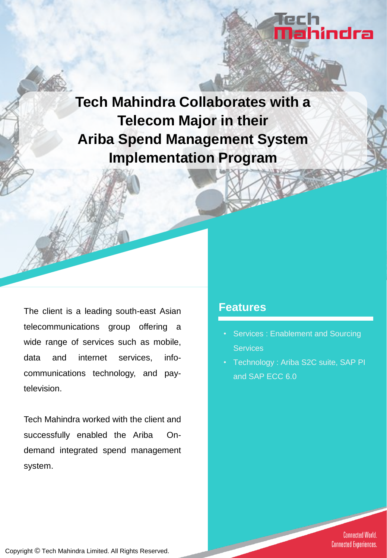# **Tech Mahindra Collaborates with a Telecom Major in their Ariba Spend Management System Implementation Program**

The client is a leading south-east Asian telecommunications group offering a wide range of services such as mobile, data and internet services, infocommunications technology, and paytelevision.

Tech Mahindra worked with the client and successfully enabled the Ariba Ondemand integrated spend management system.

### **Features**

Services : Enablement and Sourcing **Services** 

lech<br><mark>Na</mark>hindra

• Technology : Ariba S2C suite, SAP PI and SAP ECC 6.0

> **Connected World. Connected Experiences.**

Copyright © Tech Mahindra Limited. All Rights Reserved.